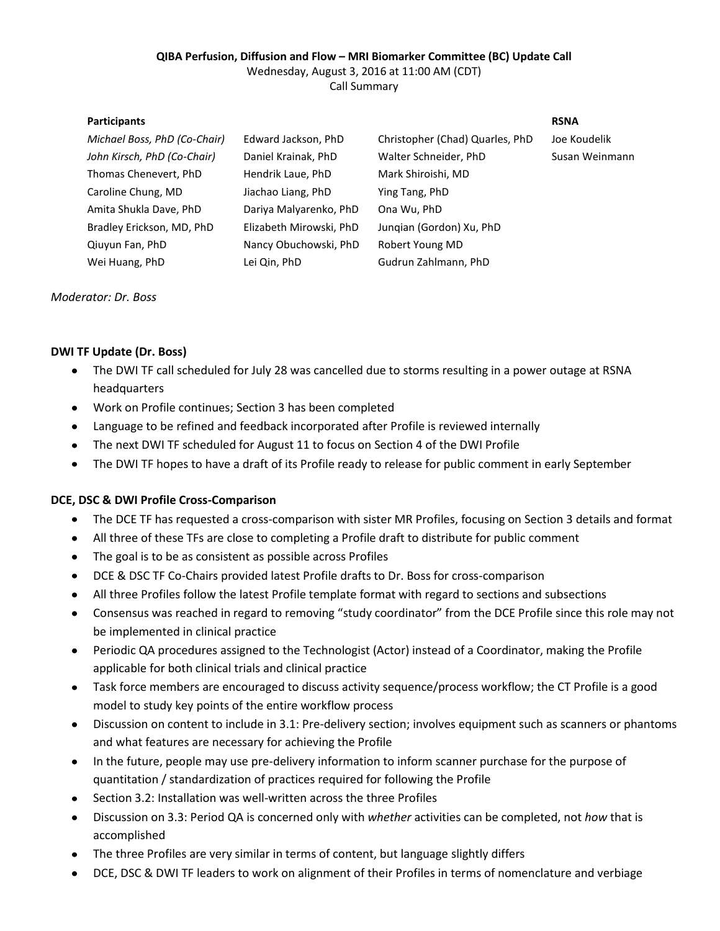# **QIBA Perfusion, Diffusion and Flow – MRI Biomarker Committee (BC) Update Call** Wednesday, August 3, 2016 at 11:00 AM (CDT)

Call Summary

| <b>Participants</b>          |                         |                                 | <b>RSNA</b>    |
|------------------------------|-------------------------|---------------------------------|----------------|
| Michael Boss, PhD (Co-Chair) | Edward Jackson, PhD     | Christopher (Chad) Quarles, PhD | Joe Koudelik   |
| John Kirsch, PhD (Co-Chair)  | Daniel Krainak, PhD     | Walter Schneider, PhD           | Susan Weinmann |
| Thomas Chenevert, PhD        | Hendrik Laue, PhD       | Mark Shiroishi, MD              |                |
| Caroline Chung, MD           | Jiachao Liang, PhD      | Ying Tang, PhD                  |                |
| Amita Shukla Dave, PhD       | Dariya Malyarenko, PhD  | Ona Wu, PhD                     |                |
| Bradley Erickson, MD, PhD    | Elizabeth Mirowski, PhD | Jungian (Gordon) Xu, PhD        |                |
| Qiuyun Fan, PhD              | Nancy Obuchowski, PhD   | Robert Young MD                 |                |
| Wei Huang, PhD               | Lei Qin, PhD            | Gudrun Zahlmann, PhD            |                |

### *Moderator: Dr. Boss*

# **DWI TF Update (Dr. Boss)**

- The DWI TF call scheduled for July 28 was cancelled due to storms resulting in a power outage at RSNA headquarters
- Work on Profile continues; Section 3 has been completed
- Language to be refined and feedback incorporated after Profile is reviewed internally
- The next DWI TF scheduled for August 11 to focus on Section 4 of the DWI Profile
- The DWI TF hopes to have a draft of its Profile ready to release for public comment in early September

### **DCE, DSC & DWI Profile Cross-Comparison**

- The DCE TF has requested a cross-comparison with sister MR Profiles, focusing on Section 3 details and format
- All three of these TFs are close to completing a Profile draft to distribute for public comment
- The goal is to be as consistent as possible across Profiles
- DCE & DSC TF Co-Chairs provided latest Profile drafts to Dr. Boss for cross-comparison
- All three Profiles follow the latest Profile template format with regard to sections and subsections
- Consensus was reached in regard to removing "study coordinator" from the DCE Profile since this role may not be implemented in clinical practice
- Periodic QA procedures assigned to the Technologist (Actor) instead of a Coordinator, making the Profile applicable for both clinical trials and clinical practice
- Task force members are encouraged to discuss activity sequence/process workflow; the CT Profile is a good model to study key points of the entire workflow process
- Discussion on content to include in 3.1: Pre-delivery section; involves equipment such as scanners or phantoms and what features are necessary for achieving the Profile
- In the future, people may use pre-delivery information to inform scanner purchase for the purpose of quantitation / standardization of practices required for following the Profile
- Section 3.2: Installation was well-written across the three Profiles
- Discussion on 3.3: Period QA is concerned only with *whether* activities can be completed, not *how* that is  $\bullet$ accomplished
- The three Profiles are very similar in terms of content, but language slightly differs
- DCE, DSC & DWI TF leaders to work on alignment of their Profiles in terms of nomenclature and verbiage